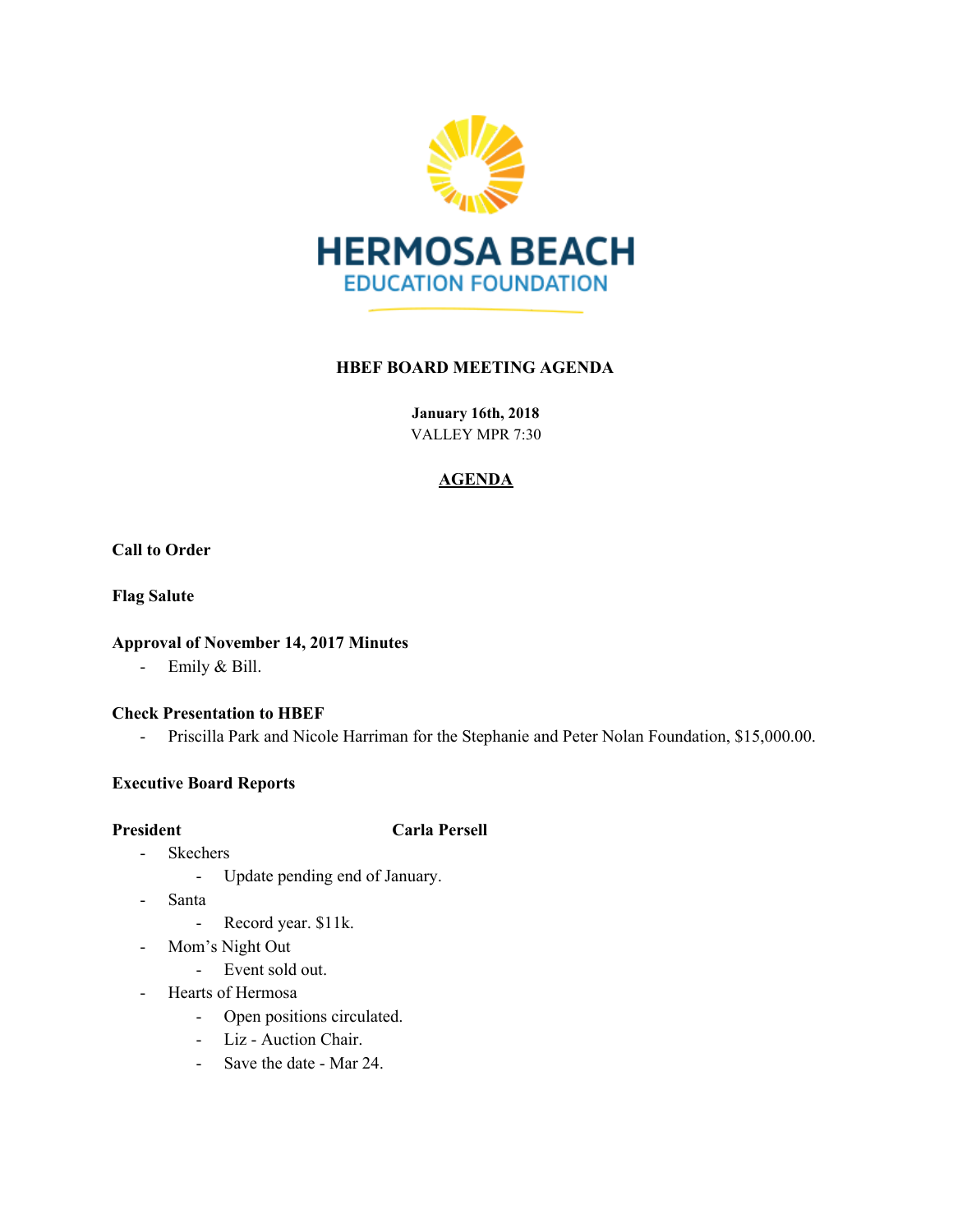

### **HBEF BOARD MEETING AGENDA**

**January 16th, 2018** VALLEY MPR 7:30

# **AGENDA**

**Call to Order**

**Flag Salute**

### **Approval of November 14, 2017 Minutes**

- Emily & Bill.

### **Check Presentation to HBEF**

- Priscilla Park and Nicole Harriman for the Stephanie and Peter Nolan Foundation, \$15,000.00.

### **Executive Board Reports**

# **President Carla Persell**

- Skechers
	- Update pending end of January.
- Santa
	- Record year. \$11k.
- Mom's Night Out
	- Event sold out.
- Hearts of Hermosa
	- Open positions circulated.
	- Liz Auction Chair.
	- Save the date Mar 24.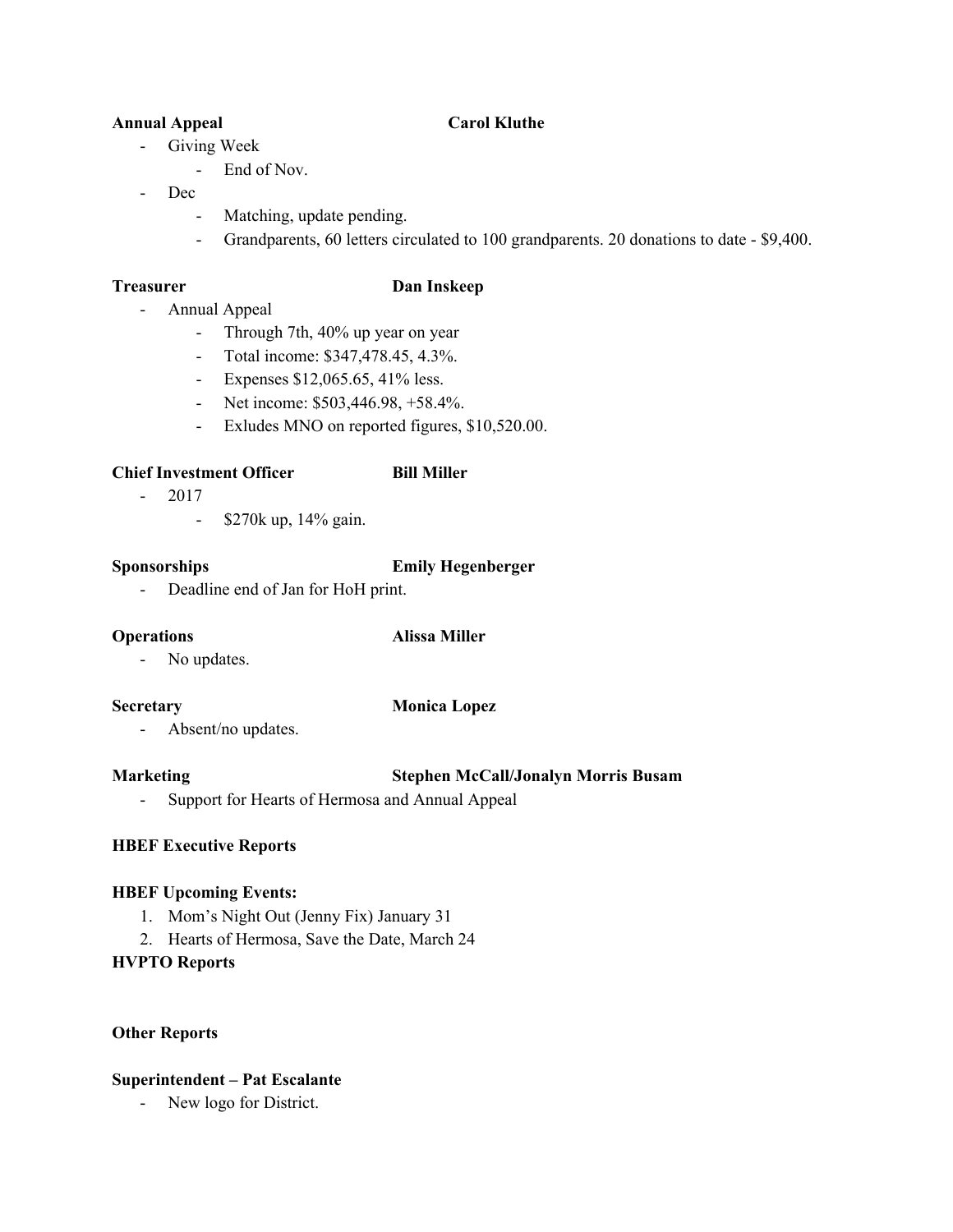### **Annual Appeal Carol Kluthe**

- Giving Week
	- End of Nov.
- Dec
	- Matching, update pending.
	- Grandparents, 60 letters circulated to 100 grandparents. 20 donations to date \$9,400.

### **Treasurer Dan Inskeep**

- Annual Appeal
	- Through 7th, 40% up year on year
	- Total income: \$347,478.45, 4.3%.
	- Expenses \$12,065.65, 41% less.
	- Net income: \$503,446.98, +58.4%.
	- Exludes MNO on reported figures, \$10,520.00.

# **Chief Investment Officer Bill Miller**

- 2017
	- \$270k up, 14% gain.

# **Sponsorships Emily Hegenberger**

- Deadline end of Jan for HoH print.

# **Operations Alissa Miller**

- No updates.

# **Secretary Monica Lopez**

- Absent/no updates.

# **Marketing Stephen McCall/Jonalyn Morris Busam**

- Support for Hearts of Hermosa and Annual Appeal

# **HBEF Executive Reports**

# **HBEF Upcoming Events:**

- 1. Mom's Night Out (Jenny Fix) January 31
- 2. Hearts of Hermosa, Save the Date, March 24

# **HVPTO Reports**

# **Other Reports**

# **Superintendent – Pat Escalante**

- New logo for District.